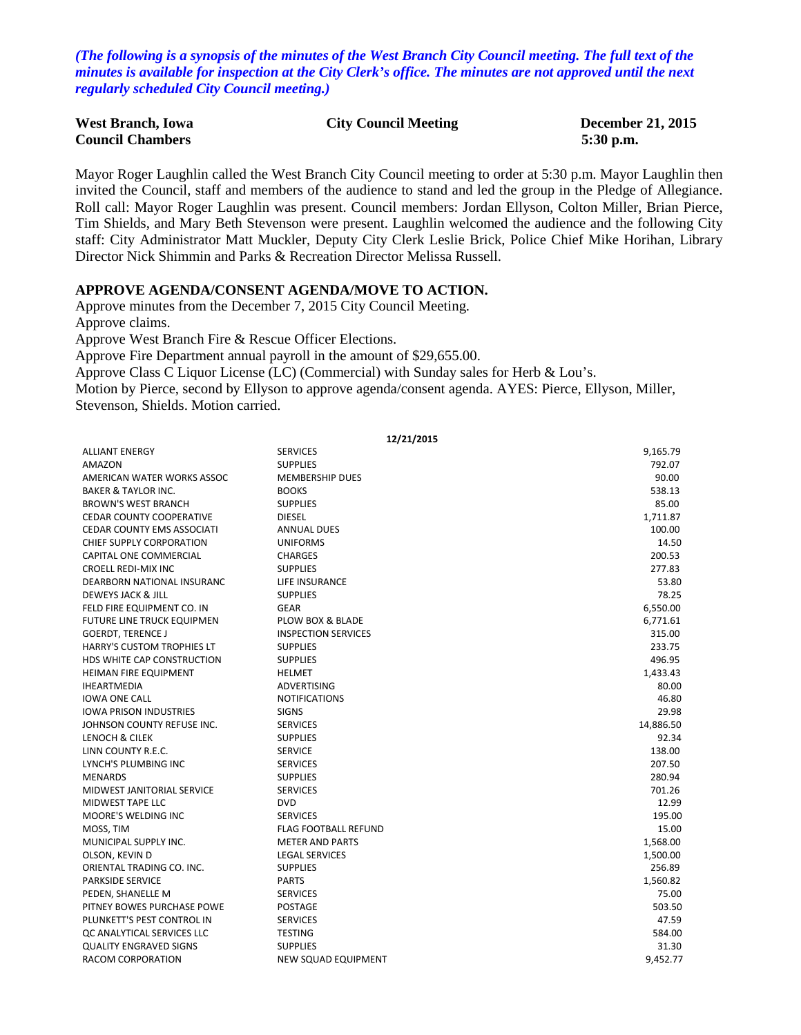*(The following is a synopsis of the minutes of the West Branch City Council meeting. The full text of the minutes is available for inspection at the City Clerk's office. The minutes are not approved until the next regularly scheduled City Council meeting.)*

| <b>West Branch, Iowa</b> | <b>City Council Meeting</b> | <b>December 21, 2015</b> |
|--------------------------|-----------------------------|--------------------------|
| <b>Council Chambers</b>  |                             | $5:30$ p.m.              |

Mayor Roger Laughlin called the West Branch City Council meeting to order at 5:30 p.m. Mayor Laughlin then invited the Council, staff and members of the audience to stand and led the group in the Pledge of Allegiance. Roll call: Mayor Roger Laughlin was present. Council members: Jordan Ellyson, Colton Miller, Brian Pierce, Tim Shields, and Mary Beth Stevenson were present. Laughlin welcomed the audience and the following City staff: City Administrator Matt Muckler, Deputy City Clerk Leslie Brick, Police Chief Mike Horihan, Library Director Nick Shimmin and Parks & Recreation Director Melissa Russell.

#### **APPROVE AGENDA/CONSENT AGENDA/MOVE TO ACTION.**

Approve minutes from the December 7, 2015 City Council Meeting. Approve claims. Approve West Branch Fire & Rescue Officer Elections. Approve Fire Department annual payroll in the amount of \$29,655.00. Approve Class C Liquor License (LC) (Commercial) with Sunday sales for Herb & Lou's. Motion by Pierce, second by Ellyson to approve agenda/consent agenda. AYES: Pierce, Ellyson, Miller, Stevenson, Shields. Motion carried.

|                                   |                             | 12/21/2015 |
|-----------------------------------|-----------------------------|------------|
| <b>ALLIANT ENERGY</b>             | <b>SERVICES</b>             | 9,165.79   |
| <b>AMAZON</b>                     | <b>SUPPLIES</b>             | 792.07     |
| AMERICAN WATER WORKS ASSOC        | <b>MEMBERSHIP DUES</b>      | 90.00      |
| <b>BAKER &amp; TAYLOR INC.</b>    | <b>BOOKS</b>                | 538.13     |
| <b>BROWN'S WEST BRANCH</b>        | <b>SUPPLIES</b>             | 85.00      |
| <b>CEDAR COUNTY COOPERATIVE</b>   | <b>DIESEL</b>               | 1,711.87   |
| <b>CEDAR COUNTY EMS ASSOCIATI</b> | <b>ANNUAL DUES</b>          | 100.00     |
| CHIEF SUPPLY CORPORATION          | <b>UNIFORMS</b>             | 14.50      |
| CAPITAL ONE COMMERCIAL            | <b>CHARGES</b>              | 200.53     |
| <b>CROELL REDI-MIX INC</b>        | <b>SUPPLIES</b>             | 277.83     |
| DEARBORN NATIONAL INSURANC        | <b>LIFE INSURANCE</b>       | 53.80      |
| <b>DEWEYS JACK &amp; JILL</b>     | <b>SUPPLIES</b>             | 78.25      |
| FELD FIRE EQUIPMENT CO. IN        | <b>GEAR</b>                 | 6,550.00   |
| FUTURE LINE TRUCK EQUIPMEN        | PLOW BOX & BLADE            | 6,771.61   |
| <b>GOERDT, TERENCE J</b>          | <b>INSPECTION SERVICES</b>  | 315.00     |
| <b>HARRY'S CUSTOM TROPHIES LT</b> | <b>SUPPLIES</b>             | 233.75     |
| HDS WHITE CAP CONSTRUCTION        | <b>SUPPLIES</b>             | 496.95     |
| HEIMAN FIRE EQUIPMENT             | <b>HELMET</b>               | 1,433.43   |
| <b>IHEARTMEDIA</b>                | <b>ADVERTISING</b>          | 80.00      |
| <b>IOWA ONE CALL</b>              | <b>NOTIFICATIONS</b>        | 46.80      |
| <b>IOWA PRISON INDUSTRIES</b>     | <b>SIGNS</b>                | 29.98      |
| JOHNSON COUNTY REFUSE INC.        | <b>SERVICES</b>             | 14,886.50  |
| <b>LENOCH &amp; CILEK</b>         | <b>SUPPLIES</b>             | 92.34      |
| LINN COUNTY R.E.C.                | <b>SERVICE</b>              | 138.00     |
| LYNCH'S PLUMBING INC              | <b>SERVICES</b>             | 207.50     |
| <b>MENARDS</b>                    | <b>SUPPLIES</b>             | 280.94     |
| MIDWEST JANITORIAL SERVICE        | <b>SERVICES</b>             | 701.26     |
| MIDWEST TAPE LLC                  | <b>DVD</b>                  | 12.99      |
| MOORE'S WELDING INC               | <b>SERVICES</b>             | 195.00     |
| MOSS, TIM                         | <b>FLAG FOOTBALL REFUND</b> | 15.00      |
| MUNICIPAL SUPPLY INC.             | <b>METER AND PARTS</b>      | 1,568.00   |
| OLSON, KEVIN D                    | <b>LEGAL SERVICES</b>       | 1,500.00   |
| ORIENTAL TRADING CO. INC.         | <b>SUPPLIES</b>             | 256.89     |
| <b>PARKSIDE SERVICE</b>           | <b>PARTS</b>                | 1,560.82   |
| PEDEN, SHANELLE M                 | <b>SERVICES</b>             | 75.00      |
| PITNEY BOWES PURCHASE POWE        | <b>POSTAGE</b>              | 503.50     |
| PLUNKETT'S PEST CONTROL IN        | <b>SERVICES</b>             | 47.59      |
| OC ANALYTICAL SERVICES LLC        | <b>TESTING</b>              | 584.00     |
| <b>QUALITY ENGRAVED SIGNS</b>     | <b>SUPPLIES</b>             | 31.30      |
| RACOM CORPORATION                 | <b>NEW SQUAD EQUIPMENT</b>  | 9.452.77   |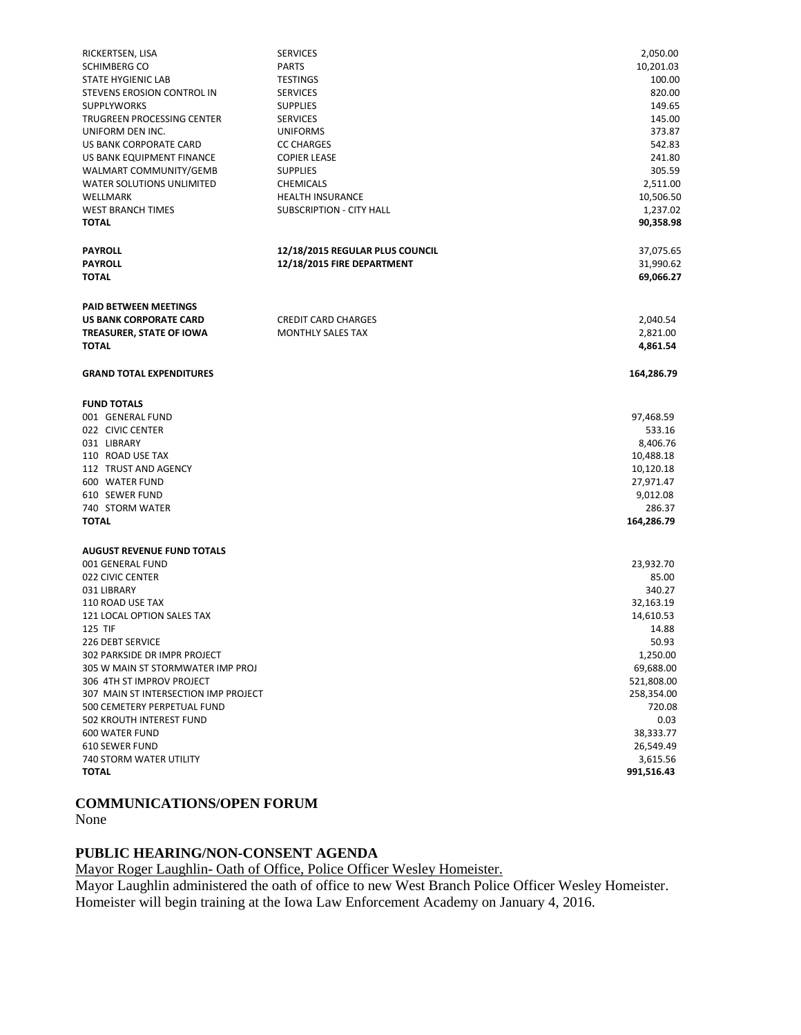| RICKERTSEN, LISA                     | <b>SERVICES</b>                 | 2,050.00   |
|--------------------------------------|---------------------------------|------------|
| SCHIMBERG CO                         | <b>PARTS</b>                    | 10,201.03  |
| <b>STATE HYGIENIC LAB</b>            | <b>TESTINGS</b>                 | 100.00     |
| STEVENS EROSION CONTROL IN           | <b>SERVICES</b>                 | 820.00     |
| <b>SUPPLYWORKS</b>                   | <b>SUPPLIES</b>                 | 149.65     |
| TRUGREEN PROCESSING CENTER           | <b>SERVICES</b>                 | 145.00     |
| UNIFORM DEN INC.                     | <b>UNIFORMS</b>                 | 373.87     |
| US BANK CORPORATE CARD               | <b>CC CHARGES</b>               | 542.83     |
| US BANK EQUIPMENT FINANCE            | <b>COPIER LEASE</b>             | 241.80     |
| WALMART COMMUNITY/GEMB               | <b>SUPPLIES</b>                 | 305.59     |
| <b>WATER SOLUTIONS UNLIMITED</b>     | CHEMICALS                       | 2,511.00   |
| WELLMARK                             | <b>HEALTH INSURANCE</b>         | 10,506.50  |
| <b>WEST BRANCH TIMES</b>             | <b>SUBSCRIPTION - CITY HALL</b> | 1,237.02   |
| <b>TOTAL</b>                         |                                 | 90,358.98  |
| <b>PAYROLL</b>                       | 12/18/2015 REGULAR PLUS COUNCIL | 37,075.65  |
| <b>PAYROLL</b>                       | 12/18/2015 FIRE DEPARTMENT      | 31,990.62  |
| <b>TOTAL</b>                         |                                 | 69,066.27  |
| <b>PAID BETWEEN MEETINGS</b>         |                                 |            |
| US BANK CORPORATE CARD               | <b>CREDIT CARD CHARGES</b>      | 2,040.54   |
| TREASURER, STATE OF IOWA             | <b>MONTHLY SALES TAX</b>        | 2,821.00   |
| <b>TOTAL</b>                         |                                 | 4,861.54   |
|                                      |                                 |            |
| <b>GRAND TOTAL EXPENDITURES</b>      |                                 | 164,286.79 |
| <b>FUND TOTALS</b>                   |                                 |            |
| 001 GENERAL FUND                     |                                 | 97,468.59  |
| 022 CIVIC CENTER                     |                                 | 533.16     |
| 031 LIBRARY                          |                                 | 8,406.76   |
| 110 ROAD USE TAX                     |                                 | 10,488.18  |
| 112 TRUST AND AGENCY                 |                                 | 10,120.18  |
| 600 WATER FUND                       |                                 | 27,971.47  |
| 610 SEWER FUND                       |                                 | 9,012.08   |
| 740 STORM WATER                      |                                 | 286.37     |
| <b>TOTAL</b>                         |                                 | 164,286.79 |
| <b>AUGUST REVENUE FUND TOTALS</b>    |                                 |            |
| 001 GENERAL FUND                     |                                 | 23,932.70  |
| 022 CIVIC CENTER                     |                                 | 85.00      |
| 031 LIBRARY                          |                                 | 340.27     |
| 110 ROAD USE TAX                     |                                 | 32,163.19  |
| 121 LOCAL OPTION SALES TAX           |                                 | 14,610.53  |
| <b>125 TIF</b>                       |                                 | 14.88      |
| 226 DEBT SERVICE                     |                                 | 50.93      |
| 302 PARKSIDE DR IMPR PROJECT         |                                 | 1,250.00   |
| 305 W MAIN ST STORMWATER IMP PROJ    |                                 | 69,688.00  |
| 306 4TH ST IMPROV PROJECT            |                                 | 521,808.00 |
| 307 MAIN ST INTERSECTION IMP PROJECT |                                 | 258,354.00 |
| 500 CEMETERY PERPETUAL FUND          |                                 | 720.08     |
| 502 KROUTH INTEREST FUND             |                                 | 0.03       |
| <b>600 WATER FUND</b>                |                                 | 38,333.77  |
| <b>610 SEWER FUND</b>                |                                 | 26,549.49  |
| 740 STORM WATER UTILITY              |                                 | 3,615.56   |
| <b>TOTAL</b>                         |                                 | 991,516.43 |

# **COMMUNICATIONS/OPEN FORUM**

None

### **PUBLIC HEARING/NON-CONSENT AGENDA**

Mayor Roger Laughlin- Oath of Office, Police Officer Wesley Homeister.

Mayor Laughlin administered the oath of office to new West Branch Police Officer Wesley Homeister. Homeister will begin training at the Iowa Law Enforcement Academy on January 4, 2016.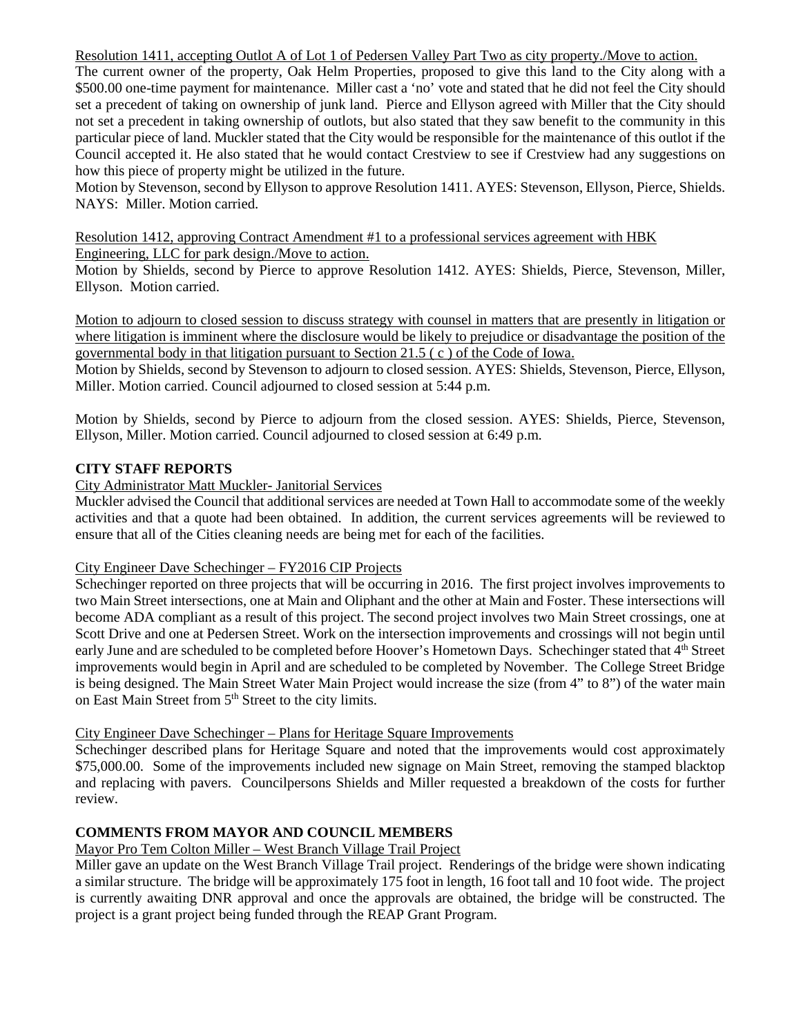Resolution 1411, accepting Outlot A of Lot 1 of Pedersen Valley Part Two as city property./Move to action.

The current owner of the property, Oak Helm Properties, proposed to give this land to the City along with a \$500.00 one-time payment for maintenance. Miller cast a 'no' vote and stated that he did not feel the City should set a precedent of taking on ownership of junk land. Pierce and Ellyson agreed with Miller that the City should not set a precedent in taking ownership of outlots, but also stated that they saw benefit to the community in this particular piece of land. Muckler stated that the City would be responsible for the maintenance of this outlot if the Council accepted it. He also stated that he would contact Crestview to see if Crestview had any suggestions on how this piece of property might be utilized in the future.

Motion by Stevenson, second by Ellyson to approve Resolution 1411. AYES: Stevenson, Ellyson, Pierce, Shields. NAYS: Miller. Motion carried.

Resolution 1412, approving Contract Amendment #1 to a professional services agreement with HBK Engineering, LLC for park design./Move to action.

Motion by Shields, second by Pierce to approve Resolution 1412. AYES: Shields, Pierce, Stevenson, Miller, Ellyson. Motion carried.

Motion to adjourn to closed session to discuss strategy with counsel in matters that are presently in litigation or where litigation is imminent where the disclosure would be likely to prejudice or disadvantage the position of the governmental body in that litigation pursuant to Section 21.5 ( c ) of the Code of Iowa.

Motion by Shields, second by Stevenson to adjourn to closed session. AYES: Shields, Stevenson, Pierce, Ellyson, Miller. Motion carried. Council adjourned to closed session at 5:44 p.m.

Motion by Shields, second by Pierce to adjourn from the closed session. AYES: Shields, Pierce, Stevenson, Ellyson, Miller. Motion carried. Council adjourned to closed session at 6:49 p.m.

## **CITY STAFF REPORTS**

City Administrator Matt Muckler- Janitorial Services

Muckler advised the Council that additional services are needed at Town Hall to accommodate some of the weekly activities and that a quote had been obtained. In addition, the current services agreements will be reviewed to ensure that all of the Cities cleaning needs are being met for each of the facilities.

### City Engineer Dave Schechinger – FY2016 CIP Projects

Schechinger reported on three projects that will be occurring in 2016. The first project involves improvements to two Main Street intersections, one at Main and Oliphant and the other at Main and Foster. These intersections will become ADA compliant as a result of this project. The second project involves two Main Street crossings, one at Scott Drive and one at Pedersen Street. Work on the intersection improvements and crossings will not begin until early June and are scheduled to be completed before Hoover's Hometown Days. Schechinger stated that 4<sup>th</sup> Street improvements would begin in April and are scheduled to be completed by November. The College Street Bridge is being designed. The Main Street Water Main Project would increase the size (from 4" to 8") of the water main on East Main Street from 5<sup>th</sup> Street to the city limits.

### City Engineer Dave Schechinger – Plans for Heritage Square Improvements

Schechinger described plans for Heritage Square and noted that the improvements would cost approximately \$75,000.00. Some of the improvements included new signage on Main Street, removing the stamped blacktop and replacing with pavers. Councilpersons Shields and Miller requested a breakdown of the costs for further review.

## **COMMENTS FROM MAYOR AND COUNCIL MEMBERS**

Mayor Pro Tem Colton Miller – West Branch Village Trail Project

Miller gave an update on the West Branch Village Trail project. Renderings of the bridge were shown indicating a similar structure. The bridge will be approximately 175 foot in length, 16 foot tall and 10 foot wide. The project is currently awaiting DNR approval and once the approvals are obtained, the bridge will be constructed. The project is a grant project being funded through the REAP Grant Program.